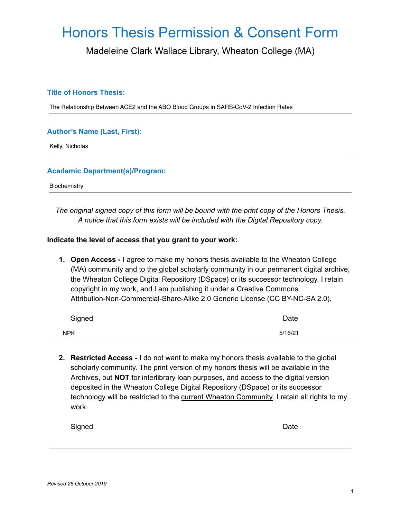# Honors Thesis Permission & Consent Form

Madeleine Clark Wallace Library, Wheaton College (MA)

### **Title of Honors Thesis:**

The Relationship Between ACE2 and the ABO Blood Groups in SARS-CoV-2 Infection Rates

### **Author's Name (Last, First):**

Kelly, Nicholas

#### **Academic Department(s)/Program:**

**Biochemistry** 

*The original signed copy of this form will be bound with the print copy of the Honors Thesis. A notice that this form exists will be included with the Digital Repository copy.*

#### **Indicate the level of access that you grant to your work:**

**1. Open Access -** I agree to make my honors thesis available to the Wheaton College (MA) community and to the global scholarly community in our permanent digital archive, the Wheaton College Digital Repository (DSpace) or its successor technology. I retain copyright in my work, and I am publishing it under a Creative Commons Attribution-Non-Commercial-Share-Alike 2.0 Generic License (CC BY-NC-SA 2.0).

| Signed     | Date    |
|------------|---------|
| <b>NPK</b> | 5/16/21 |

**2. Restricted Access -** I do not want to make my honors thesis available to the global scholarly community. The print version of my honors thesis will be available in the Archives, but **NOT** for interlibrary loan purposes, and access to the digital version deposited in the Wheaton College Digital Repository (DSpace) or its successor technology will be restricted to the current Wheaton Community. I retain all rights to my work.

| Signed |  | Date |
|--------|--|------|
|        |  |      |